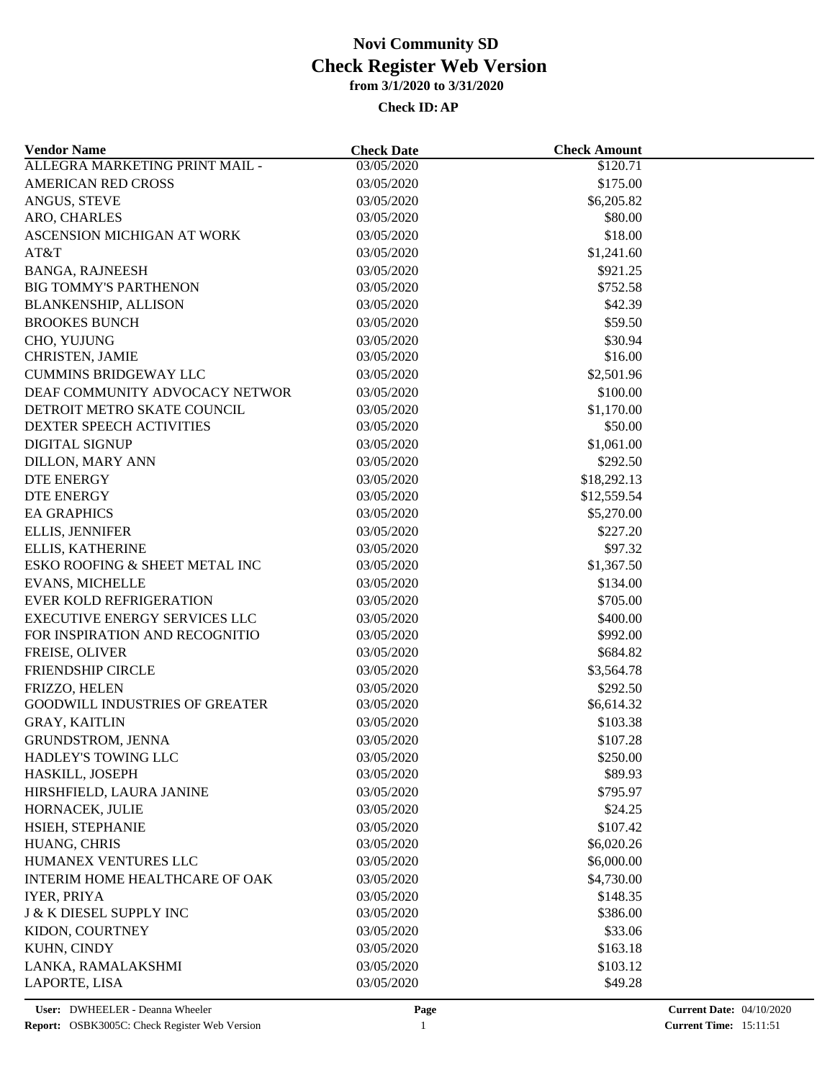| <b>Vendor Name</b>                    | <b>Check Date</b>        | <b>Check Amount</b> |  |
|---------------------------------------|--------------------------|---------------------|--|
| ALLEGRA MARKETING PRINT MAIL -        | 03/05/2020               | \$120.71            |  |
| <b>AMERICAN RED CROSS</b>             | 03/05/2020               | \$175.00            |  |
| ANGUS, STEVE                          | 03/05/2020               | \$6,205.82          |  |
| ARO, CHARLES                          | 03/05/2020               | \$80.00             |  |
| ASCENSION MICHIGAN AT WORK            | 03/05/2020               | \$18.00             |  |
| AT&T                                  | 03/05/2020               | \$1,241.60          |  |
| <b>BANGA, RAJNEESH</b>                | 03/05/2020               | \$921.25            |  |
| <b>BIG TOMMY'S PARTHENON</b>          | 03/05/2020               | \$752.58            |  |
| <b>BLANKENSHIP, ALLISON</b>           | 03/05/2020               | \$42.39             |  |
| <b>BROOKES BUNCH</b>                  | 03/05/2020               | \$59.50             |  |
| CHO, YUJUNG                           | 03/05/2020               | \$30.94             |  |
| CHRISTEN, JAMIE                       | 03/05/2020               | \$16.00             |  |
| <b>CUMMINS BRIDGEWAY LLC</b>          | 03/05/2020               | \$2,501.96          |  |
| DEAF COMMUNITY ADVOCACY NETWOR        | 03/05/2020               | \$100.00            |  |
| DETROIT METRO SKATE COUNCIL           | 03/05/2020               | \$1,170.00          |  |
| DEXTER SPEECH ACTIVITIES              | 03/05/2020               | \$50.00             |  |
| <b>DIGITAL SIGNUP</b>                 | 03/05/2020               | \$1,061.00          |  |
| <b>DILLON, MARY ANN</b>               | 03/05/2020               | \$292.50            |  |
| <b>DTE ENERGY</b>                     | 03/05/2020               | \$18,292.13         |  |
| <b>DTE ENERGY</b>                     | 03/05/2020               | \$12,559.54         |  |
| <b>EA GRAPHICS</b>                    | 03/05/2020               | \$5,270.00          |  |
| <b>ELLIS, JENNIFER</b>                | 03/05/2020               | \$227.20            |  |
| ELLIS, KATHERINE                      | 03/05/2020               | \$97.32             |  |
| ESKO ROOFING & SHEET METAL INC        | 03/05/2020               | \$1,367.50          |  |
| <b>EVANS, MICHELLE</b>                | 03/05/2020               | \$134.00            |  |
| <b>EVER KOLD REFRIGERATION</b>        | 03/05/2020               | \$705.00            |  |
| <b>EXECUTIVE ENERGY SERVICES LLC</b>  | 03/05/2020               | \$400.00            |  |
| FOR INSPIRATION AND RECOGNITIO        | 03/05/2020               | \$992.00            |  |
| FREISE, OLIVER                        | 03/05/2020               | \$684.82            |  |
| FRIENDSHIP CIRCLE                     | 03/05/2020               | \$3,564.78          |  |
| FRIZZO, HELEN                         | 03/05/2020               | \$292.50            |  |
| <b>GOODWILL INDUSTRIES OF GREATER</b> | 03/05/2020               | \$6,614.32          |  |
| <b>GRAY, KAITLIN</b>                  | 03/05/2020               | \$103.38            |  |
| <b>GRUNDSTROM, JENNA</b>              | 03/05/2020               | \$107.28            |  |
| HADLEY'S TOWING LLC                   |                          |                     |  |
| HASKILL, JOSEPH                       | 03/05/2020<br>03/05/2020 | \$250.00<br>\$89.93 |  |
|                                       |                          | \$795.97            |  |
| HIRSHFIELD, LAURA JANINE              | 03/05/2020               |                     |  |
| HORNACEK, JULIE                       | 03/05/2020               | \$24.25             |  |
| HSIEH, STEPHANIE                      | 03/05/2020               | \$107.42            |  |
| HUANG, CHRIS                          | 03/05/2020               | \$6,020.26          |  |
| HUMANEX VENTURES LLC                  | 03/05/2020               | \$6,000.00          |  |
| INTERIM HOME HEALTHCARE OF OAK        | 03/05/2020               | \$4,730.00          |  |
| <b>IYER, PRIYA</b>                    | 03/05/2020               | \$148.35            |  |
| <b>J &amp; K DIESEL SUPPLY INC</b>    | 03/05/2020               | \$386.00            |  |
| KIDON, COURTNEY                       | 03/05/2020               | \$33.06             |  |
| KUHN, CINDY                           | 03/05/2020               | \$163.18            |  |
| LANKA, RAMALAKSHMI                    | 03/05/2020               | \$103.12            |  |
| LAPORTE, LISA                         | 03/05/2020               | \$49.28             |  |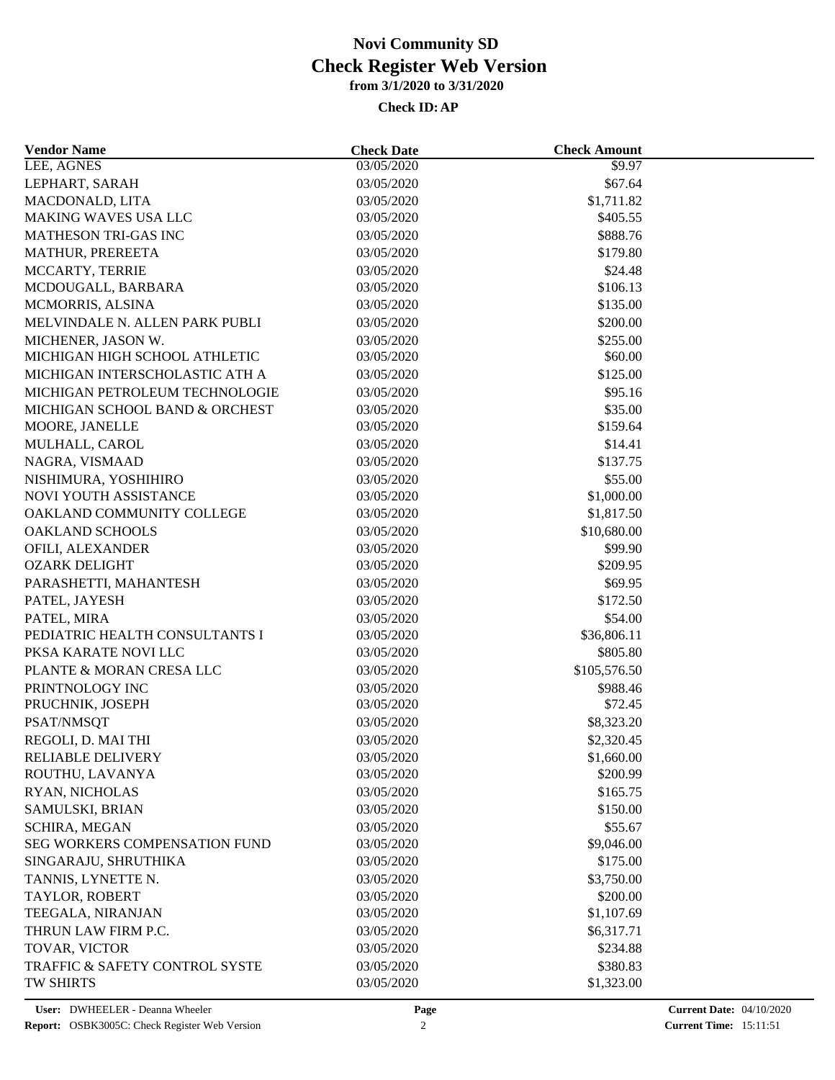| <b>Vendor Name</b>             | <b>Check Date</b> | <b>Check Amount</b> |  |
|--------------------------------|-------------------|---------------------|--|
| LEE, AGNES                     | 03/05/2020        | \$9.97              |  |
| LEPHART, SARAH                 | 03/05/2020        | \$67.64             |  |
| MACDONALD, LITA                | 03/05/2020        | \$1,711.82          |  |
| MAKING WAVES USA LLC           | 03/05/2020        | \$405.55            |  |
| MATHESON TRI-GAS INC           | 03/05/2020        | \$888.76            |  |
| MATHUR, PREREETA               | 03/05/2020        | \$179.80            |  |
| MCCARTY, TERRIE                | 03/05/2020        | \$24.48             |  |
| MCDOUGALL, BARBARA             | 03/05/2020        | \$106.13            |  |
| MCMORRIS, ALSINA               | 03/05/2020        | \$135.00            |  |
| MELVINDALE N. ALLEN PARK PUBLI | 03/05/2020        | \$200.00            |  |
| MICHENER, JASON W.             | 03/05/2020        | \$255.00            |  |
| MICHIGAN HIGH SCHOOL ATHLETIC  | 03/05/2020        | \$60.00             |  |
| MICHIGAN INTERSCHOLASTIC ATH A | 03/05/2020        | \$125.00            |  |
| MICHIGAN PETROLEUM TECHNOLOGIE | 03/05/2020        | \$95.16             |  |
| MICHIGAN SCHOOL BAND & ORCHEST | 03/05/2020        | \$35.00             |  |
| MOORE, JANELLE                 | 03/05/2020        | \$159.64            |  |
| MULHALL, CAROL                 | 03/05/2020        | \$14.41             |  |
| NAGRA, VISMAAD                 | 03/05/2020        | \$137.75            |  |
| NISHIMURA, YOSHIHIRO           | 03/05/2020        | \$55.00             |  |
| NOVI YOUTH ASSISTANCE          | 03/05/2020        | \$1,000.00          |  |
| OAKLAND COMMUNITY COLLEGE      | 03/05/2020        | \$1,817.50          |  |
| OAKLAND SCHOOLS                | 03/05/2020        | \$10,680.00         |  |
| OFILI, ALEXANDER               | 03/05/2020        | \$99.90             |  |
| <b>OZARK DELIGHT</b>           | 03/05/2020        | \$209.95            |  |
| PARASHETTI, MAHANTESH          | 03/05/2020        | \$69.95             |  |
|                                |                   |                     |  |
| PATEL, JAYESH                  | 03/05/2020        | \$172.50            |  |
| PATEL, MIRA                    | 03/05/2020        | \$54.00             |  |
| PEDIATRIC HEALTH CONSULTANTS I | 03/05/2020        | \$36,806.11         |  |
| PKSA KARATE NOVI LLC           | 03/05/2020        | \$805.80            |  |
| PLANTE & MORAN CRESA LLC       | 03/05/2020        | \$105,576.50        |  |
| PRINTNOLOGY INC                | 03/05/2020        | \$988.46            |  |
| PRUCHNIK, JOSEPH               | 03/05/2020        | \$72.45             |  |
| PSAT/NMSQT                     | 03/05/2020        | \$8,323.20          |  |
| REGOLI, D. MAI THI             | 03/05/2020        | \$2,320.45          |  |
| RELIABLE DELIVERY              | 03/05/2020        | \$1,660.00          |  |
| ROUTHU, LAVANYA                | 03/05/2020        | \$200.99            |  |
| RYAN, NICHOLAS                 | 03/05/2020        | \$165.75            |  |
| SAMULSKI, BRIAN                | 03/05/2020        | \$150.00            |  |
| SCHIRA, MEGAN                  | 03/05/2020        | \$55.67             |  |
| SEG WORKERS COMPENSATION FUND  | 03/05/2020        | \$9,046.00          |  |
| SINGARAJU, SHRUTHIKA           | 03/05/2020        | \$175.00            |  |
| TANNIS, LYNETTE N.             | 03/05/2020        | \$3,750.00          |  |
| TAYLOR, ROBERT                 | 03/05/2020        | \$200.00            |  |
| TEEGALA, NIRANJAN              | 03/05/2020        | \$1,107.69          |  |
| THRUN LAW FIRM P.C.            | 03/05/2020        | \$6,317.71          |  |
| TOVAR, VICTOR                  | 03/05/2020        | \$234.88            |  |
| TRAFFIC & SAFETY CONTROL SYSTE | 03/05/2020        | \$380.83            |  |
| <b>TW SHIRTS</b>               | 03/05/2020        | \$1,323.00          |  |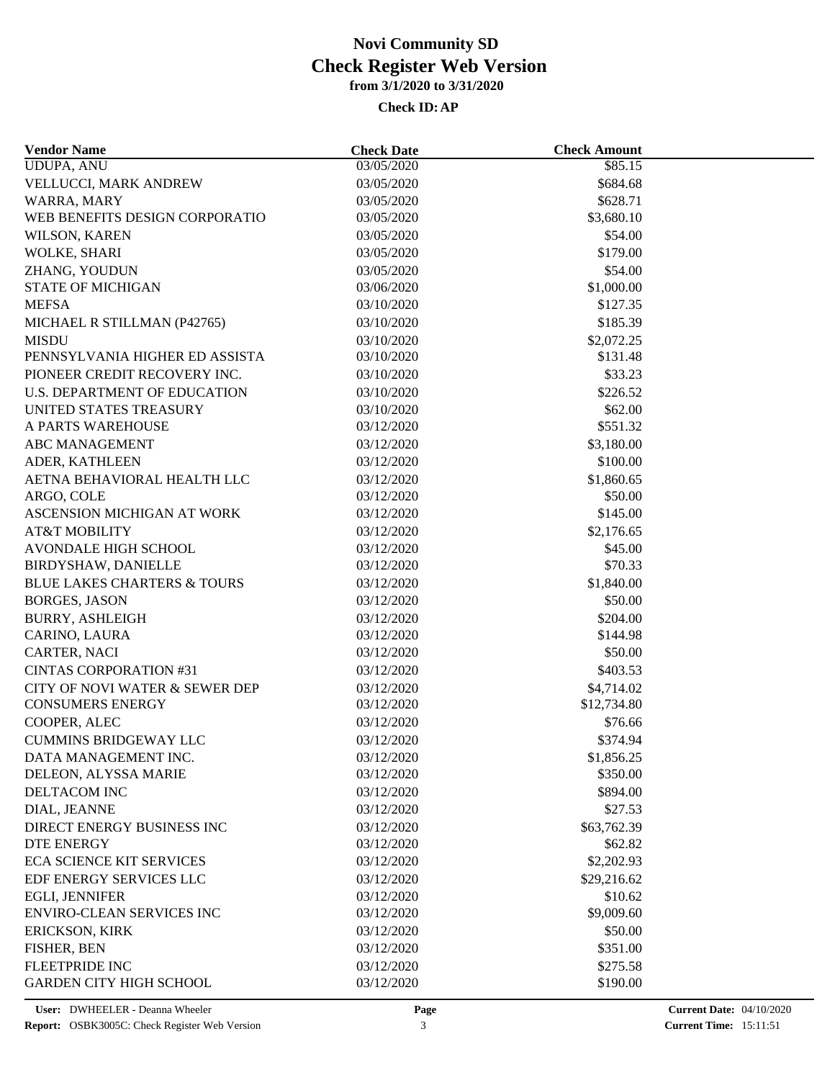| <b>Vendor Name</b>                     | <b>Check Date</b> | <b>Check Amount</b> |  |
|----------------------------------------|-------------------|---------------------|--|
| <b>UDUPA, ANU</b>                      | 03/05/2020        | \$85.15             |  |
| VELLUCCI, MARK ANDREW                  | 03/05/2020        | \$684.68            |  |
| WARRA, MARY                            | 03/05/2020        | \$628.71            |  |
| WEB BENEFITS DESIGN CORPORATIO         | 03/05/2020        | \$3,680.10          |  |
| WILSON, KAREN                          | 03/05/2020        | \$54.00             |  |
| WOLKE, SHARI                           | 03/05/2020        | \$179.00            |  |
| ZHANG, YOUDUN                          | 03/05/2020        | \$54.00             |  |
| <b>STATE OF MICHIGAN</b>               | 03/06/2020        | \$1,000.00          |  |
| <b>MEFSA</b>                           | 03/10/2020        | \$127.35            |  |
| MICHAEL R STILLMAN (P42765)            | 03/10/2020        | \$185.39            |  |
| <b>MISDU</b>                           | 03/10/2020        | \$2,072.25          |  |
| PENNSYLVANIA HIGHER ED ASSISTA         | 03/10/2020        | \$131.48            |  |
| PIONEER CREDIT RECOVERY INC.           | 03/10/2020        | \$33.23             |  |
| <b>U.S. DEPARTMENT OF EDUCATION</b>    | 03/10/2020        | \$226.52            |  |
| UNITED STATES TREASURY                 | 03/10/2020        | \$62.00             |  |
| A PARTS WAREHOUSE                      | 03/12/2020        | \$551.32            |  |
| ABC MANAGEMENT                         | 03/12/2020        | \$3,180.00          |  |
| ADER, KATHLEEN                         | 03/12/2020        | \$100.00            |  |
| AETNA BEHAVIORAL HEALTH LLC            | 03/12/2020        | \$1,860.65          |  |
| ARGO, COLE                             | 03/12/2020        | \$50.00             |  |
| <b>ASCENSION MICHIGAN AT WORK</b>      | 03/12/2020        | \$145.00            |  |
| <b>AT&amp;T MOBILITY</b>               | 03/12/2020        | \$2,176.65          |  |
| <b>AVONDALE HIGH SCHOOL</b>            | 03/12/2020        | \$45.00             |  |
| BIRDYSHAW, DANIELLE                    | 03/12/2020        | \$70.33             |  |
| <b>BLUE LAKES CHARTERS &amp; TOURS</b> | 03/12/2020        | \$1,840.00          |  |
| <b>BORGES, JASON</b>                   | 03/12/2020        | \$50.00             |  |
| <b>BURRY, ASHLEIGH</b>                 | 03/12/2020        | \$204.00            |  |
| CARINO, LAURA                          | 03/12/2020        | \$144.98            |  |
| CARTER, NACI                           | 03/12/2020        | \$50.00             |  |
| <b>CINTAS CORPORATION #31</b>          | 03/12/2020        | \$403.53            |  |
| CITY OF NOVI WATER & SEWER DEP         | 03/12/2020        | \$4,714.02          |  |
| <b>CONSUMERS ENERGY</b>                | 03/12/2020        | \$12,734.80         |  |
| COOPER, ALEC                           | 03/12/2020        | \$76.66             |  |
| <b>CUMMINS BRIDGEWAY LLC</b>           | 03/12/2020        | \$374.94            |  |
| DATA MANAGEMENT INC.                   | 03/12/2020        | \$1,856.25          |  |
| DELEON, ALYSSA MARIE                   | 03/12/2020        | \$350.00            |  |
| DELTACOM INC                           | 03/12/2020        | \$894.00            |  |
|                                        | 03/12/2020        |                     |  |
| DIAL, JEANNE                           |                   | \$27.53             |  |
| DIRECT ENERGY BUSINESS INC             | 03/12/2020        | \$63,762.39         |  |
| DTE ENERGY                             | 03/12/2020        | \$62.82             |  |
| <b>ECA SCIENCE KIT SERVICES</b>        | 03/12/2020        | \$2,202.93          |  |
| EDF ENERGY SERVICES LLC                | 03/12/2020        | \$29,216.62         |  |
| EGLI, JENNIFER                         | 03/12/2020        | \$10.62             |  |
| <b>ENVIRO-CLEAN SERVICES INC</b>       | 03/12/2020        | \$9,009.60          |  |
| <b>ERICKSON, KIRK</b>                  | 03/12/2020        | \$50.00             |  |
| FISHER, BEN                            | 03/12/2020        | \$351.00            |  |
| <b>FLEETPRIDE INC</b>                  | 03/12/2020        | \$275.58            |  |
| <b>GARDEN CITY HIGH SCHOOL</b>         | 03/12/2020        | \$190.00            |  |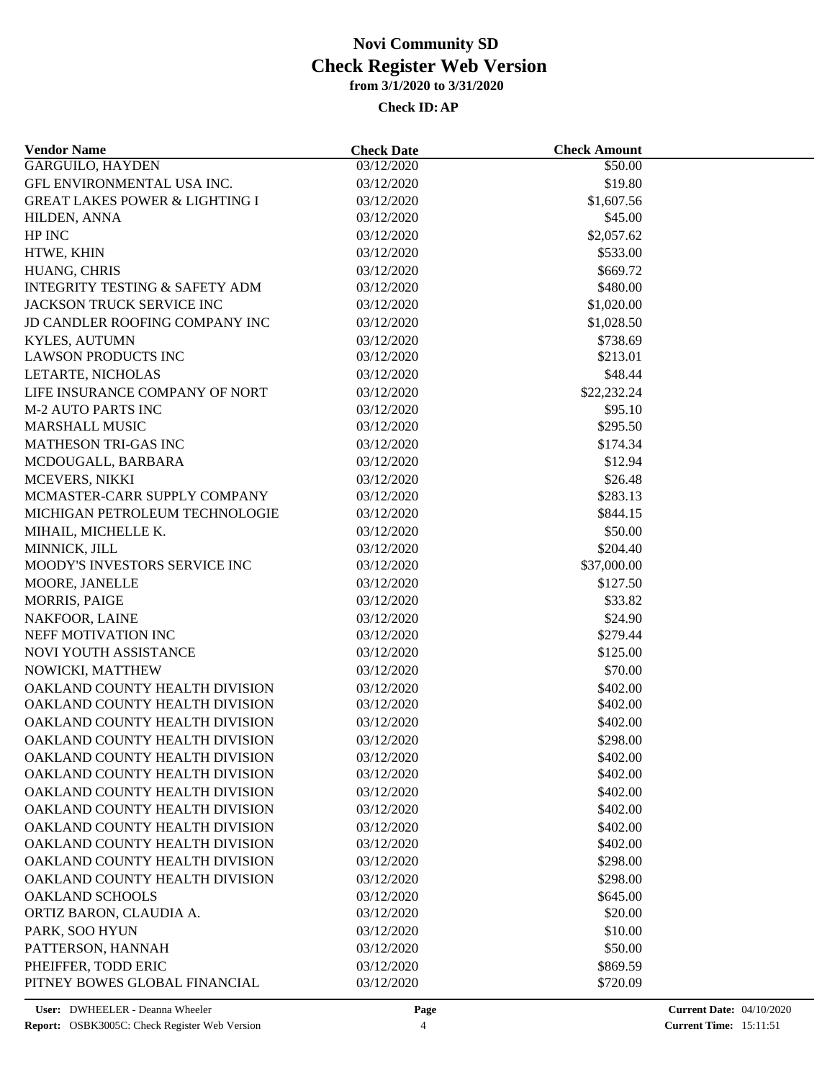| <b>Vendor Name</b>                        | <b>Check Date</b>        | <b>Check Amount</b> |  |
|-------------------------------------------|--------------------------|---------------------|--|
| <b>GARGUILO, HAYDEN</b>                   | 03/12/2020               | $\overline{$}50.00$ |  |
| GFL ENVIRONMENTAL USA INC.                | 03/12/2020               | \$19.80             |  |
| <b>GREAT LAKES POWER &amp; LIGHTING I</b> | 03/12/2020               | \$1,607.56          |  |
| HILDEN, ANNA                              | 03/12/2020               | \$45.00             |  |
| HP INC                                    | 03/12/2020               | \$2,057.62          |  |
| HTWE, KHIN                                | 03/12/2020               | \$533.00            |  |
| HUANG, CHRIS                              | 03/12/2020               | \$669.72            |  |
| <b>INTEGRITY TESTING &amp; SAFETY ADM</b> | 03/12/2020               | \$480.00            |  |
| JACKSON TRUCK SERVICE INC                 | 03/12/2020               | \$1,020.00          |  |
| JD CANDLER ROOFING COMPANY INC            | 03/12/2020               | \$1,028.50          |  |
| <b>KYLES, AUTUMN</b>                      | 03/12/2020               | \$738.69            |  |
| <b>LAWSON PRODUCTS INC</b>                | 03/12/2020               | \$213.01            |  |
| LETARTE, NICHOLAS                         | 03/12/2020               | \$48.44             |  |
| LIFE INSURANCE COMPANY OF NORT            | 03/12/2020               | \$22,232.24         |  |
| <b>M-2 AUTO PARTS INC</b>                 | 03/12/2020               | \$95.10             |  |
| <b>MARSHALL MUSIC</b>                     | 03/12/2020               | \$295.50            |  |
| MATHESON TRI-GAS INC                      | 03/12/2020               | \$174.34            |  |
| MCDOUGALL, BARBARA                        | 03/12/2020               | \$12.94             |  |
| MCEVERS, NIKKI                            | 03/12/2020               | \$26.48             |  |
| MCMASTER-CARR SUPPLY COMPANY              | 03/12/2020               | \$283.13            |  |
| MICHIGAN PETROLEUM TECHNOLOGIE            | 03/12/2020               | \$844.15            |  |
| MIHAIL, MICHELLE K.                       | 03/12/2020               | \$50.00             |  |
| MINNICK, JILL                             | 03/12/2020               | \$204.40            |  |
| MOODY'S INVESTORS SERVICE INC             | 03/12/2020               | \$37,000.00         |  |
| MOORE, JANELLE                            | 03/12/2020               | \$127.50            |  |
| <b>MORRIS, PAIGE</b>                      | 03/12/2020               | \$33.82             |  |
|                                           |                          |                     |  |
| NAKFOOR, LAINE<br>NEFF MOTIVATION INC     | 03/12/2020<br>03/12/2020 | \$24.90<br>\$279.44 |  |
|                                           |                          |                     |  |
| NOVI YOUTH ASSISTANCE                     | 03/12/2020               | \$125.00            |  |
| NOWICKI, MATTHEW                          | 03/12/2020               | \$70.00             |  |
| OAKLAND COUNTY HEALTH DIVISION            | 03/12/2020               | \$402.00            |  |
| OAKLAND COUNTY HEALTH DIVISION            | 03/12/2020               | \$402.00            |  |
| OAKLAND COUNTY HEALTH DIVISION            | 03/12/2020               | \$402.00            |  |
| OAKLAND COUNTY HEALTH DIVISION            | 03/12/2020               | \$298.00            |  |
| OAKLAND COUNTY HEALTH DIVISION            | 03/12/2020               | \$402.00            |  |
| OAKLAND COUNTY HEALTH DIVISION            | 03/12/2020               | \$402.00            |  |
| OAKLAND COUNTY HEALTH DIVISION            | 03/12/2020               | \$402.00            |  |
| OAKLAND COUNTY HEALTH DIVISION            | 03/12/2020               | \$402.00            |  |
| OAKLAND COUNTY HEALTH DIVISION            | 03/12/2020               | \$402.00            |  |
| OAKLAND COUNTY HEALTH DIVISION            | 03/12/2020               | \$402.00            |  |
| OAKLAND COUNTY HEALTH DIVISION            | 03/12/2020               | \$298.00            |  |
| OAKLAND COUNTY HEALTH DIVISION            | 03/12/2020               | \$298.00            |  |
| <b>OAKLAND SCHOOLS</b>                    | 03/12/2020               | \$645.00            |  |
| ORTIZ BARON, CLAUDIA A.                   | 03/12/2020               | \$20.00             |  |
| PARK, SOO HYUN                            | 03/12/2020               | \$10.00             |  |
| PATTERSON, HANNAH                         | 03/12/2020               | \$50.00             |  |
| PHEIFFER, TODD ERIC                       | 03/12/2020               | \$869.59            |  |
| PITNEY BOWES GLOBAL FINANCIAL             | 03/12/2020               | \$720.09            |  |
|                                           |                          |                     |  |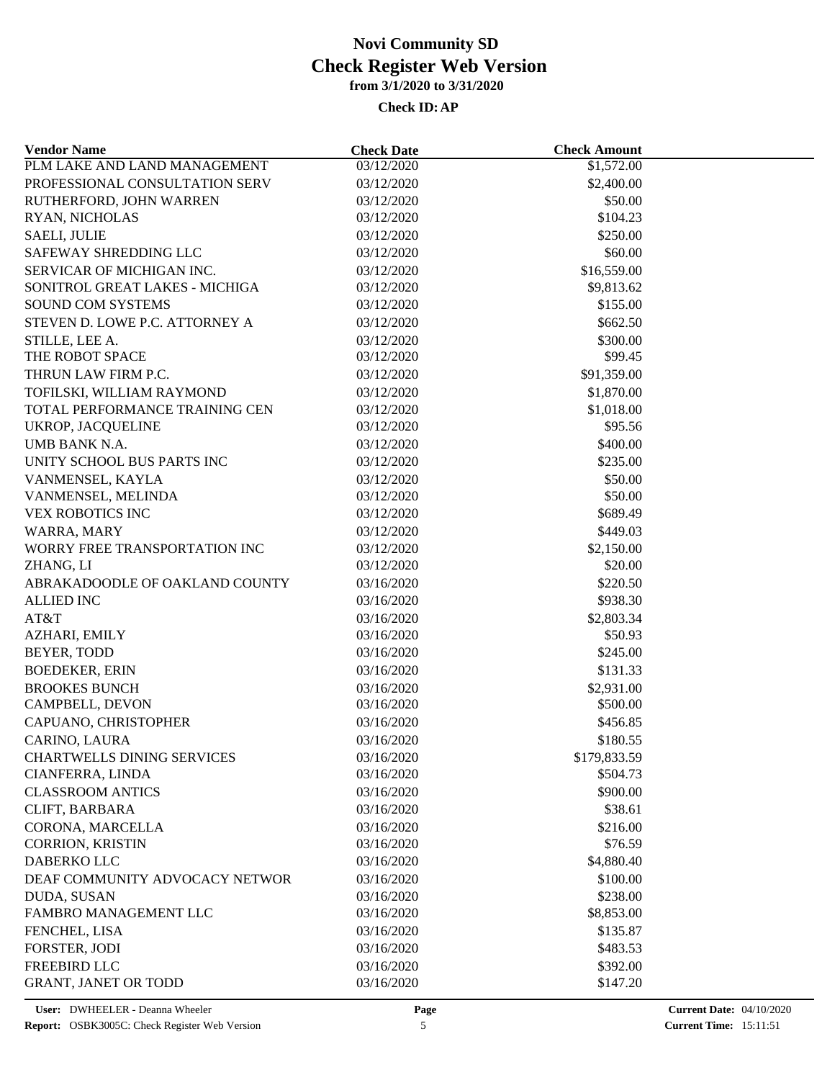| <b>Vendor Name</b>                | <b>Check Date</b> | <b>Check Amount</b> |  |
|-----------------------------------|-------------------|---------------------|--|
| PLM LAKE AND LAND MANAGEMENT      | 03/12/2020        | \$1,572.00          |  |
| PROFESSIONAL CONSULTATION SERV    | 03/12/2020        | \$2,400.00          |  |
| RUTHERFORD, JOHN WARREN           | 03/12/2020        | \$50.00             |  |
| RYAN, NICHOLAS                    | 03/12/2020        | \$104.23            |  |
| <b>SAELI, JULIE</b>               | 03/12/2020        | \$250.00            |  |
| SAFEWAY SHREDDING LLC             | 03/12/2020        | \$60.00             |  |
| SERVICAR OF MICHIGAN INC.         | 03/12/2020        | \$16,559.00         |  |
| SONITROL GREAT LAKES - MICHIGA    | 03/12/2020        | \$9,813.62          |  |
| <b>SOUND COM SYSTEMS</b>          | 03/12/2020        | \$155.00            |  |
| STEVEN D. LOWE P.C. ATTORNEY A    | 03/12/2020        | \$662.50            |  |
| STILLE, LEE A.                    | 03/12/2020        | \$300.00            |  |
| THE ROBOT SPACE                   | 03/12/2020        | \$99.45             |  |
| THRUN LAW FIRM P.C.               | 03/12/2020        | \$91,359.00         |  |
| TOFILSKI, WILLIAM RAYMOND         | 03/12/2020        | \$1,870.00          |  |
| TOTAL PERFORMANCE TRAINING CEN    | 03/12/2020        | \$1,018.00          |  |
| UKROP, JACQUELINE                 | 03/12/2020        | \$95.56             |  |
| UMB BANK N.A.                     | 03/12/2020        | \$400.00            |  |
| UNITY SCHOOL BUS PARTS INC        | 03/12/2020        | \$235.00            |  |
| VANMENSEL, KAYLA                  | 03/12/2020        | \$50.00             |  |
| VANMENSEL, MELINDA                | 03/12/2020        | \$50.00             |  |
| <b>VEX ROBOTICS INC</b>           | 03/12/2020        | \$689.49            |  |
| WARRA, MARY                       | 03/12/2020        | \$449.03            |  |
| WORRY FREE TRANSPORTATION INC     | 03/12/2020        | \$2,150.00          |  |
| ZHANG, LI                         | 03/12/2020        | \$20.00             |  |
| ABRAKADOODLE OF OAKLAND COUNTY    | 03/16/2020        | \$220.50            |  |
| <b>ALLIED INC</b>                 | 03/16/2020        | \$938.30            |  |
| AT&T                              | 03/16/2020        | \$2,803.34          |  |
| AZHARI, EMILY                     | 03/16/2020        | \$50.93             |  |
| BEYER, TODD                       | 03/16/2020        | \$245.00            |  |
| <b>BOEDEKER, ERIN</b>             | 03/16/2020        | \$131.33            |  |
| <b>BROOKES BUNCH</b>              | 03/16/2020        | \$2,931.00          |  |
| CAMPBELL, DEVON                   | 03/16/2020        | \$500.00            |  |
| CAPUANO, CHRISTOPHER              | 03/16/2020        | \$456.85            |  |
| CARINO, LAURA                     | 03/16/2020        | \$180.55            |  |
| <b>CHARTWELLS DINING SERVICES</b> | 03/16/2020        | \$179,833.59        |  |
| CIANFERRA, LINDA                  | 03/16/2020        | \$504.73            |  |
| <b>CLASSROOM ANTICS</b>           | 03/16/2020        | \$900.00            |  |
|                                   |                   |                     |  |
| CLIFT, BARBARA                    | 03/16/2020        | \$38.61             |  |
| CORONA, MARCELLA                  | 03/16/2020        | \$216.00            |  |
| <b>CORRION, KRISTIN</b>           | 03/16/2020        | \$76.59             |  |
| <b>DABERKO LLC</b>                | 03/16/2020        | \$4,880.40          |  |
| DEAF COMMUNITY ADVOCACY NETWOR    | 03/16/2020        | \$100.00            |  |
| DUDA, SUSAN                       | 03/16/2020        | \$238.00            |  |
| FAMBRO MANAGEMENT LLC             | 03/16/2020        | \$8,853.00          |  |
| FENCHEL, LISA                     | 03/16/2020        | \$135.87            |  |
| FORSTER, JODI                     | 03/16/2020        | \$483.53            |  |
| FREEBIRD LLC                      | 03/16/2020        | \$392.00            |  |
| GRANT, JANET OR TODD              | 03/16/2020        | \$147.20            |  |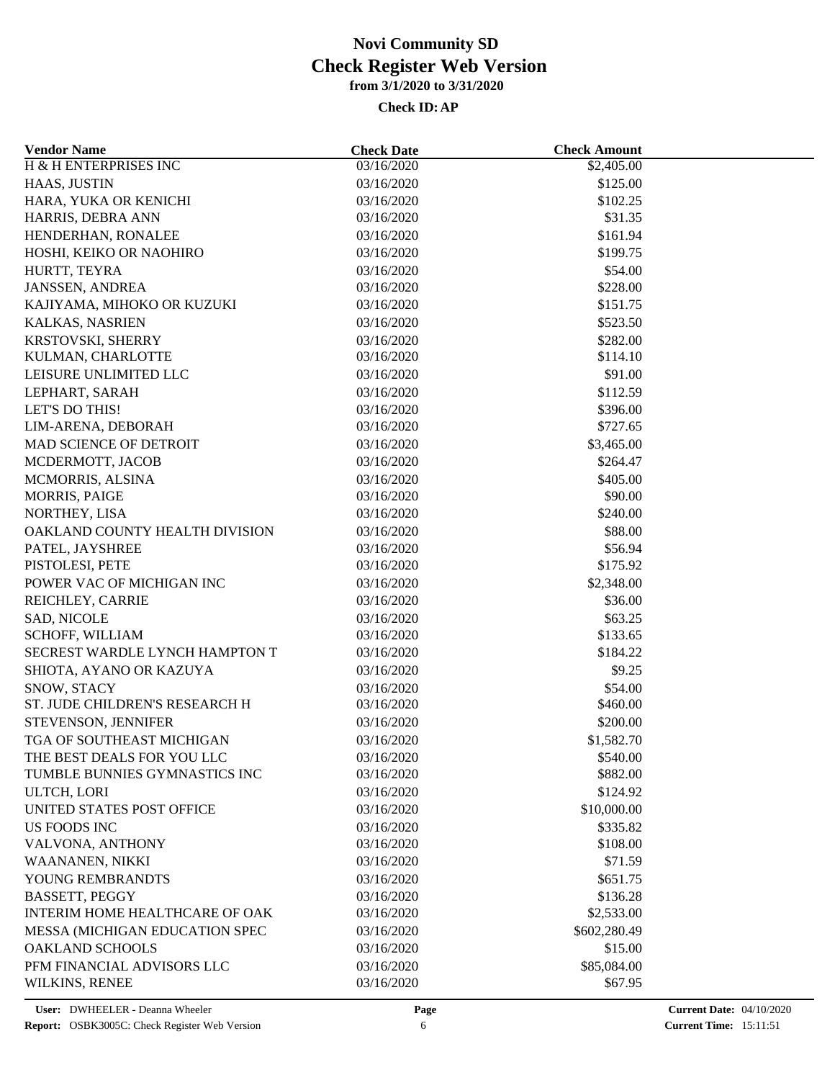| <b>Vendor Name</b>             | <b>Check Date</b> | <b>Check Amount</b> |  |
|--------------------------------|-------------------|---------------------|--|
| H & H ENTERPRISES INC          | 03/16/2020        | \$2,405.00          |  |
| HAAS, JUSTIN                   | 03/16/2020        | \$125.00            |  |
| HARA, YUKA OR KENICHI          | 03/16/2020        | \$102.25            |  |
| HARRIS, DEBRA ANN              | 03/16/2020        | \$31.35             |  |
| HENDERHAN, RONALEE             | 03/16/2020        | \$161.94            |  |
| HOSHI, KEIKO OR NAOHIRO        | 03/16/2020        | \$199.75            |  |
| HURTT, TEYRA                   | 03/16/2020        | \$54.00             |  |
| <b>JANSSEN, ANDREA</b>         | 03/16/2020        | \$228.00            |  |
| KAJIYAMA, MIHOKO OR KUZUKI     | 03/16/2020        | \$151.75            |  |
| KALKAS, NASRIEN                | 03/16/2020        | \$523.50            |  |
| KRSTOVSKI, SHERRY              | 03/16/2020        | \$282.00            |  |
| KULMAN, CHARLOTTE              | 03/16/2020        | \$114.10            |  |
| LEISURE UNLIMITED LLC          | 03/16/2020        | \$91.00             |  |
| LEPHART, SARAH                 | 03/16/2020        | \$112.59            |  |
| LET'S DO THIS!                 | 03/16/2020        | \$396.00            |  |
| LIM-ARENA, DEBORAH             | 03/16/2020        | \$727.65            |  |
| MAD SCIENCE OF DETROIT         | 03/16/2020        | \$3,465.00          |  |
| MCDERMOTT, JACOB               | 03/16/2020        | \$264.47            |  |
| MCMORRIS, ALSINA               | 03/16/2020        | \$405.00            |  |
| MORRIS, PAIGE                  | 03/16/2020        | \$90.00             |  |
| NORTHEY, LISA                  | 03/16/2020        | \$240.00            |  |
| OAKLAND COUNTY HEALTH DIVISION | 03/16/2020        | \$88.00             |  |
| PATEL, JAYSHREE                | 03/16/2020        | \$56.94             |  |
| PISTOLESI, PETE                | 03/16/2020        | \$175.92            |  |
| POWER VAC OF MICHIGAN INC      | 03/16/2020        | \$2,348.00          |  |
| REICHLEY, CARRIE               | 03/16/2020        | \$36.00             |  |
| SAD, NICOLE                    | 03/16/2020        | \$63.25             |  |
| SCHOFF, WILLIAM                | 03/16/2020        | \$133.65            |  |
| SECREST WARDLE LYNCH HAMPTON T | 03/16/2020        | \$184.22            |  |
|                                |                   |                     |  |
| SHIOTA, AYANO OR KAZUYA        | 03/16/2020        | \$9.25              |  |
| SNOW, STACY                    | 03/16/2020        | \$54.00             |  |
| ST. JUDE CHILDREN'S RESEARCH H | 03/16/2020        | \$460.00            |  |
| STEVENSON, JENNIFER            | 03/16/2020        | \$200.00            |  |
| TGA OF SOUTHEAST MICHIGAN      | 03/16/2020        | \$1,582.70          |  |
| THE BEST DEALS FOR YOU LLC     | 03/16/2020        | \$540.00            |  |
| TUMBLE BUNNIES GYMNASTICS INC  | 03/16/2020        | \$882.00            |  |
| ULTCH, LORI                    | 03/16/2020        | \$124.92            |  |
| UNITED STATES POST OFFICE      | 03/16/2020        | \$10,000.00         |  |
| <b>US FOODS INC</b>            | 03/16/2020        | \$335.82            |  |
| VALVONA, ANTHONY               | 03/16/2020        | \$108.00            |  |
| WAANANEN, NIKKI                | 03/16/2020        | \$71.59             |  |
| YOUNG REMBRANDTS               | 03/16/2020        | \$651.75            |  |
| <b>BASSETT, PEGGY</b>          | 03/16/2020        | \$136.28            |  |
| INTERIM HOME HEALTHCARE OF OAK | 03/16/2020        | \$2,533.00          |  |
| MESSA (MICHIGAN EDUCATION SPEC | 03/16/2020        | \$602,280.49        |  |
| <b>OAKLAND SCHOOLS</b>         | 03/16/2020        | \$15.00             |  |
| PFM FINANCIAL ADVISORS LLC     | 03/16/2020        | \$85,084.00         |  |
| WILKINS, RENEE                 | 03/16/2020        | \$67.95             |  |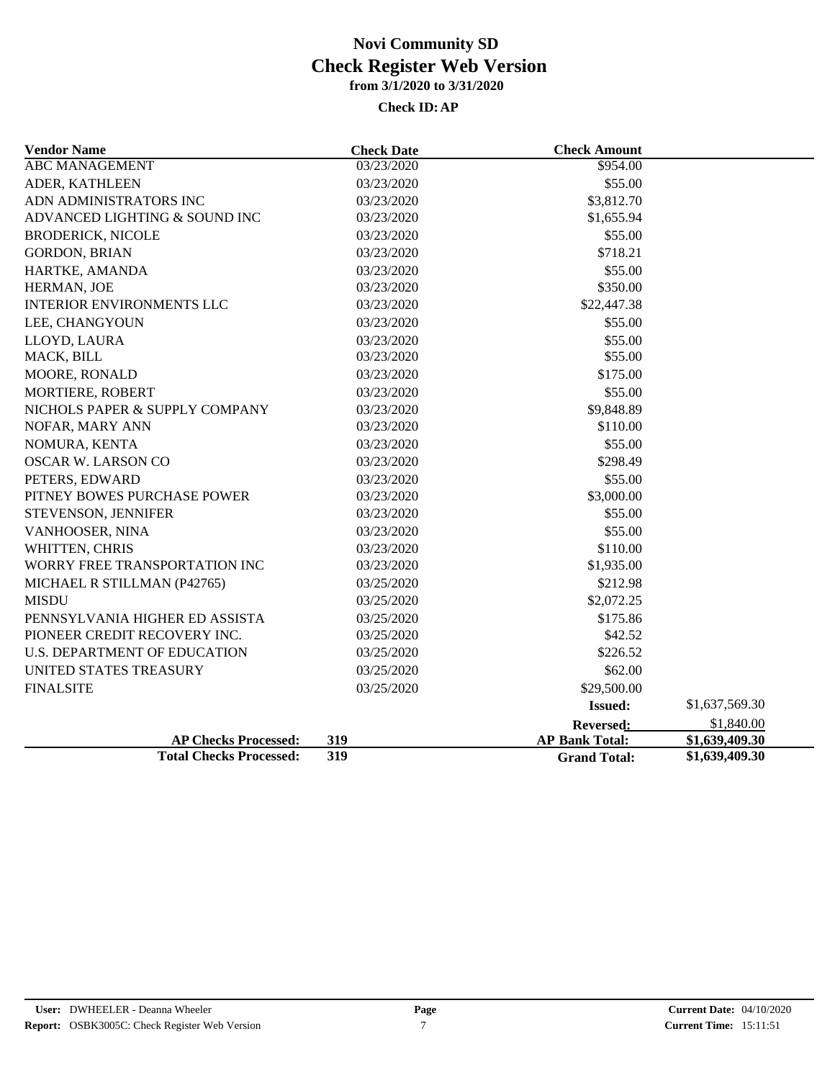| <b>Vendor Name</b>               | <b>Check Date</b>   | <b>Check Amount</b>   |                |
|----------------------------------|---------------------|-----------------------|----------------|
| <b>ABC MANAGEMENT</b>            | 03/23/2020          | \$954.00              |                |
| ADER, KATHLEEN                   | 03/23/2020          | \$55.00               |                |
| ADN ADMINISTRATORS INC           | 03/23/2020          | \$3,812.70            |                |
| ADVANCED LIGHTING & SOUND INC    | 03/23/2020          | \$1,655.94            |                |
| <b>BRODERICK, NICOLE</b>         | 03/23/2020          | \$55.00               |                |
| <b>GORDON, BRIAN</b>             | 03/23/2020          | \$718.21              |                |
| HARTKE, AMANDA                   | 03/23/2020          | \$55.00               |                |
| HERMAN, JOE                      | 03/23/2020          | \$350.00              |                |
| <b>INTERIOR ENVIRONMENTS LLC</b> | 03/23/2020          | \$22,447.38           |                |
| LEE, CHANGYOUN                   | 03/23/2020          | \$55.00               |                |
| LLOYD, LAURA                     | 03/23/2020          | \$55.00               |                |
| MACK, BILL                       | 03/23/2020          | \$55.00               |                |
| MOORE, RONALD                    | 03/23/2020          | \$175.00              |                |
| MORTIERE, ROBERT                 | 03/23/2020          | \$55.00               |                |
| NICHOLS PAPER & SUPPLY COMPANY   | 03/23/2020          | \$9,848.89            |                |
| NOFAR, MARY ANN                  | 03/23/2020          | \$110.00              |                |
| NOMURA, KENTA                    | 03/23/2020          | \$55.00               |                |
| <b>OSCAR W. LARSON CO</b>        | 03/23/2020          | \$298.49              |                |
| PETERS, EDWARD                   | 03/23/2020          | \$55.00               |                |
| PITNEY BOWES PURCHASE POWER      | 03/23/2020          | \$3,000.00            |                |
| STEVENSON, JENNIFER              | 03/23/2020          | \$55.00               |                |
| VANHOOSER, NINA                  | 03/23/2020          | \$55.00               |                |
| WHITTEN, CHRIS                   | 03/23/2020          | \$110.00              |                |
| WORRY FREE TRANSPORTATION INC    | 03/23/2020          | \$1,935.00            |                |
| MICHAEL R STILLMAN (P42765)      | 03/25/2020          | \$212.98              |                |
| <b>MISDU</b>                     | 03/25/2020          | \$2,072.25            |                |
| PENNSYLVANIA HIGHER ED ASSISTA   | 03/25/2020          | \$175.86              |                |
| PIONEER CREDIT RECOVERY INC.     | 03/25/2020          | \$42.52               |                |
| U.S. DEPARTMENT OF EDUCATION     | 03/25/2020          | \$226.52              |                |
| UNITED STATES TREASURY           | 03/25/2020          | \$62.00               |                |
| <b>FINALSITE</b>                 | 03/25/2020          | \$29,500.00           |                |
|                                  |                     | <b>Issued:</b>        | \$1,637,569.30 |
|                                  |                     | <b>Reversed:</b>      | \$1,840.00     |
| <b>AP Checks Processed:</b>      | 319<br>319          | <b>AP Bank Total:</b> | \$1,639,409.30 |
| <b>Total Checks Processed:</b>   | <b>Grand Total:</b> | \$1,639,409.30        |                |